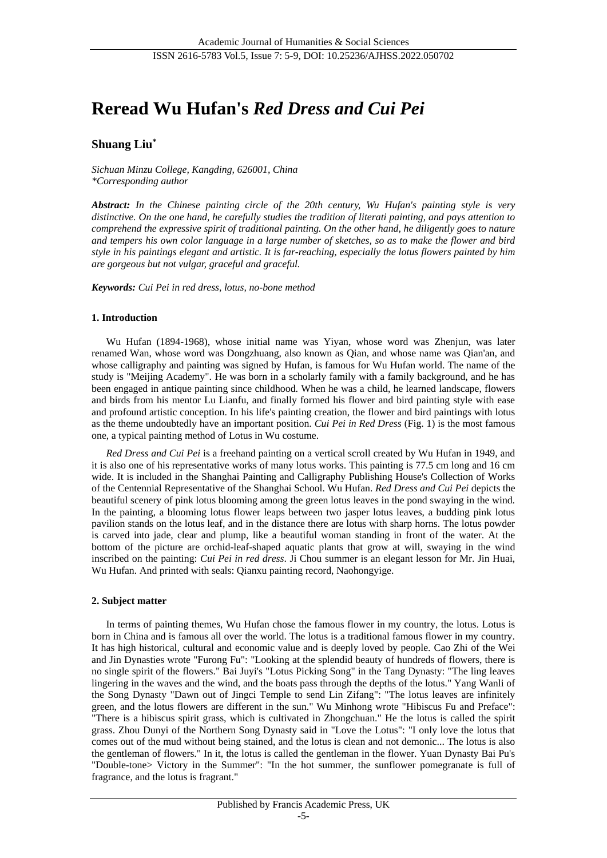# **Reread Wu Hufan's** *Red Dress and Cui Pei*

# **Shuang Liu\***

*Sichuan Minzu College, Kangding, 626001, China \*Corresponding author*

*Abstract: In the Chinese painting circle of the 20th century, Wu Hufan's painting style is very distinctive. On the one hand, he carefully studies the tradition of literati painting, and pays attention to comprehend the expressive spirit of traditional painting. On the other hand, he diligently goes to nature and tempers his own color language in a large number of sketches, so as to make the flower and bird style in his paintings elegant and artistic. It is far-reaching, especially the lotus flowers painted by him are gorgeous but not vulgar, graceful and graceful.*

*Keywords: Cui Pei in red dress, lotus, no-bone method*

#### **1. Introduction**

Wu Hufan (1894-1968), whose initial name was Yiyan, whose word was Zhenjun, was later renamed Wan, whose word was Dongzhuang, also known as Qian, and whose name was Qian'an, and whose calligraphy and painting was signed by Hufan, is famous for Wu Hufan world. The name of the study is "Meijing Academy". He was born in a scholarly family with a family background, and he has been engaged in antique painting since childhood. When he was a child, he learned landscape, flowers and birds from his mentor Lu Lianfu, and finally formed his flower and bird painting style with ease and profound artistic conception. In his life's painting creation, the flower and bird paintings with lotus as the theme undoubtedly have an important position. *Cui Pei in Red Dress* (Fig. 1) is the most famous one, a typical painting method of Lotus in Wu costume.

*Red Dress and Cui Pei* is a freehand painting on a vertical scroll created by Wu Hufan in 1949, and it is also one of his representative works of many lotus works. This painting is 77.5 cm long and 16 cm wide. It is included in the Shanghai Painting and Calligraphy Publishing House's Collection of Works of the Centennial Representative of the Shanghai School. Wu Hufan. *Red Dress and Cui Pei* depicts the beautiful scenery of pink lotus blooming among the green lotus leaves in the pond swaying in the wind. In the painting, a blooming lotus flower leaps between two jasper lotus leaves, a budding pink lotus pavilion stands on the lotus leaf, and in the distance there are lotus with sharp horns. The lotus powder is carved into jade, clear and plump, like a beautiful woman standing in front of the water. At the bottom of the picture are orchid-leaf-shaped aquatic plants that grow at will, swaying in the wind inscribed on the painting: *Cui Pei in red dress*. Ji Chou summer is an elegant lesson for Mr. Jin Huai, Wu Hufan. And printed with seals: Qianxu painting record, Naohongyige.

#### **2. Subject matter**

In terms of painting themes, Wu Hufan chose the famous flower in my country, the lotus. Lotus is born in China and is famous all over the world. The lotus is a traditional famous flower in my country. It has high historical, cultural and economic value and is deeply loved by people. Cao Zhi of the Wei and Jin Dynasties wrote "Furong Fu": "Looking at the splendid beauty of hundreds of flowers, there is no single spirit of the flowers." Bai Juyi's "Lotus Picking Song" in the Tang Dynasty: "The ling leaves lingering in the waves and the wind, and the boats pass through the depths of the lotus." Yang Wanli of the Song Dynasty "Dawn out of Jingci Temple to send Lin Zifang": "The lotus leaves are infinitely green, and the lotus flowers are different in the sun." Wu Minhong wrote "Hibiscus Fu and Preface": "There is a hibiscus spirit grass, which is cultivated in Zhongchuan." He the lotus is called the spirit grass. Zhou Dunyi of the Northern Song Dynasty said in "Love the Lotus": "I only love the lotus that comes out of the mud without being stained, and the lotus is clean and not demonic... The lotus is also the gentleman of flowers." In it, the lotus is called the gentleman in the flower. Yuan Dynasty Bai Pu's "Double-tone> Victory in the Summer": "In the hot summer, the sunflower pomegranate is full of fragrance, and the lotus is fragrant."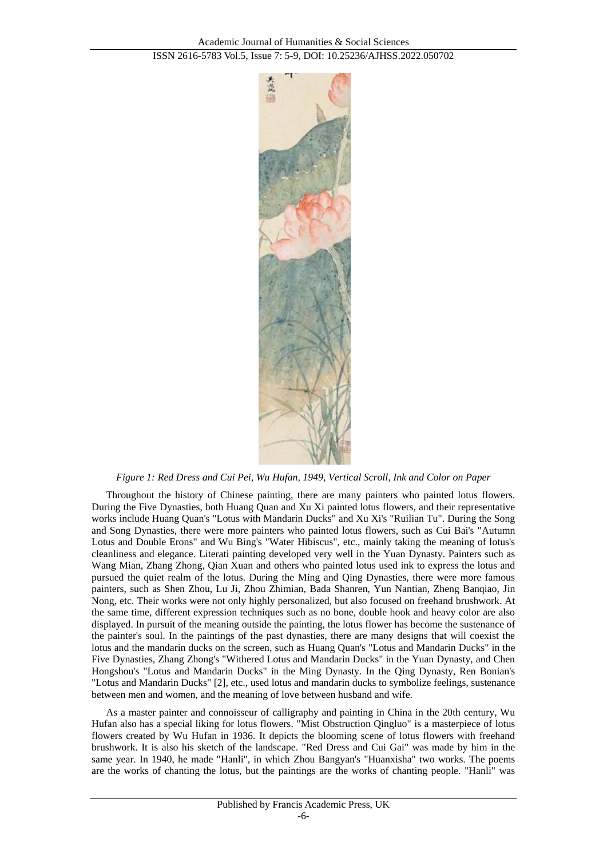

*Figure 1: Red Dress and Cui Pei, Wu Hufan, 1949, Vertical Scroll, Ink and Color on Paper*

Throughout the history of Chinese painting, there are many painters who painted lotus flowers. During the Five Dynasties, both Huang Quan and Xu Xi painted lotus flowers, and their representative works include Huang Quan's "Lotus with Mandarin Ducks" and Xu Xi's "Ruilian Tu". During the Song and Song Dynasties, there were more painters who painted lotus flowers, such as Cui Bai's "Autumn Lotus and Double Erons" and Wu Bing's "Water Hibiscus", etc., mainly taking the meaning of lotus's cleanliness and elegance. Literati painting developed very well in the Yuan Dynasty. Painters such as Wang Mian, Zhang Zhong, Qian Xuan and others who painted lotus used ink to express the lotus and pursued the quiet realm of the lotus. During the Ming and Qing Dynasties, there were more famous painters, such as Shen Zhou, Lu Ji, Zhou Zhimian, Bada Shanren, Yun Nantian, Zheng Banqiao, Jin Nong, etc. Their works were not only highly personalized, but also focused on freehand brushwork. At the same time, different expression techniques such as no bone, double hook and heavy color are also displayed. In pursuit of the meaning outside the painting, the lotus flower has become the sustenance of the painter's soul. In the paintings of the past dynasties, there are many designs that will coexist the lotus and the mandarin ducks on the screen, such as Huang Quan's "Lotus and Mandarin Ducks" in the Five Dynasties, Zhang Zhong's "Withered Lotus and Mandarin Ducks" in the Yuan Dynasty, and Chen Hongshou's "Lotus and Mandarin Ducks" in the Ming Dynasty. In the Qing Dynasty, Ren Bonian's "Lotus and Mandarin Ducks" [2], etc., used lotus and mandarin ducks to symbolize feelings, sustenance between men and women, and the meaning of love between husband and wife.

As a master painter and connoisseur of calligraphy and painting in China in the 20th century, Wu Hufan also has a special liking for lotus flowers. "Mist Obstruction Qingluo" is a masterpiece of lotus flowers created by Wu Hufan in 1936. It depicts the blooming scene of lotus flowers with freehand brushwork. It is also his sketch of the landscape. "Red Dress and Cui Gai" was made by him in the same year. In 1940, he made "Hanli", in which Zhou Bangyan's "Huanxisha" two works. The poems are the works of chanting the lotus, but the paintings are the works of chanting people. "Hanli" was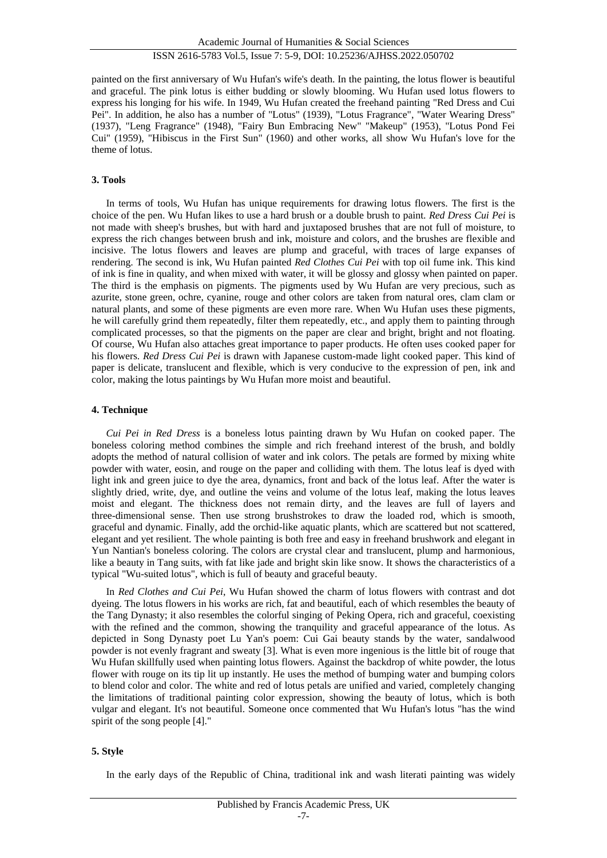## ISSN 2616-5783 Vol.5, Issue 7: 5-9, DOI: 10.25236/AJHSS.2022.050702

painted on the first anniversary of Wu Hufan's wife's death. In the painting, the lotus flower is beautiful and graceful. The pink lotus is either budding or slowly blooming. Wu Hufan used lotus flowers to express his longing for his wife. In 1949, Wu Hufan created the freehand painting "Red Dress and Cui Pei". In addition, he also has a number of "Lotus" (1939), "Lotus Fragrance", "Water Wearing Dress" (1937), "Leng Fragrance" (1948), "Fairy Bun Embracing New" "Makeup" (1953), "Lotus Pond Fei Cui" (1959), "Hibiscus in the First Sun" (1960) and other works, all show Wu Hufan's love for the theme of lotus.

#### **3. Tools**

In terms of tools, Wu Hufan has unique requirements for drawing lotus flowers. The first is the choice of the pen. Wu Hufan likes to use a hard brush or a double brush to paint. *Red Dress Cui Pei* is not made with sheep's brushes, but with hard and juxtaposed brushes that are not full of moisture, to express the rich changes between brush and ink, moisture and colors, and the brushes are flexible and incisive. The lotus flowers and leaves are plump and graceful, with traces of large expanses of rendering. The second is ink, Wu Hufan painted *Red Clothes Cui Pei* with top oil fume ink. This kind of ink is fine in quality, and when mixed with water, it will be glossy and glossy when painted on paper. The third is the emphasis on pigments. The pigments used by Wu Hufan are very precious, such as azurite, stone green, ochre, cyanine, rouge and other colors are taken from natural ores, clam clam or natural plants, and some of these pigments are even more rare. When Wu Hufan uses these pigments, he will carefully grind them repeatedly, filter them repeatedly, etc., and apply them to painting through complicated processes, so that the pigments on the paper are clear and bright, bright and not floating. Of course, Wu Hufan also attaches great importance to paper products. He often uses cooked paper for his flowers. *Red Dress Cui Pei* is drawn with Japanese custom-made light cooked paper. This kind of paper is delicate, translucent and flexible, which is very conducive to the expression of pen, ink and color, making the lotus paintings by Wu Hufan more moist and beautiful.

#### **4. Technique**

*Cui Pei in Red Dress* is a boneless lotus painting drawn by Wu Hufan on cooked paper. The boneless coloring method combines the simple and rich freehand interest of the brush, and boldly adopts the method of natural collision of water and ink colors. The petals are formed by mixing white powder with water, eosin, and rouge on the paper and colliding with them. The lotus leaf is dyed with light ink and green juice to dye the area, dynamics, front and back of the lotus leaf. After the water is slightly dried, write, dye, and outline the veins and volume of the lotus leaf, making the lotus leaves moist and elegant. The thickness does not remain dirty, and the leaves are full of layers and three-dimensional sense. Then use strong brushstrokes to draw the loaded rod, which is smooth, graceful and dynamic. Finally, add the orchid-like aquatic plants, which are scattered but not scattered, elegant and yet resilient. The whole painting is both free and easy in freehand brushwork and elegant in Yun Nantian's boneless coloring. The colors are crystal clear and translucent, plump and harmonious, like a beauty in Tang suits, with fat like jade and bright skin like snow. It shows the characteristics of a typical "Wu-suited lotus", which is full of beauty and graceful beauty.

In *Red Clothes and Cui Pei*, Wu Hufan showed the charm of lotus flowers with contrast and dot dyeing. The lotus flowers in his works are rich, fat and beautiful, each of which resembles the beauty of the Tang Dynasty; it also resembles the colorful singing of Peking Opera, rich and graceful, coexisting with the refined and the common, showing the tranquility and graceful appearance of the lotus. As depicted in Song Dynasty poet Lu Yan's poem: Cui Gai beauty stands by the water, sandalwood powder is not evenly fragrant and sweaty [3]. What is even more ingenious is the little bit of rouge that Wu Hufan skillfully used when painting lotus flowers. Against the backdrop of white powder, the lotus flower with rouge on its tip lit up instantly. He uses the method of bumping water and bumping colors to blend color and color. The white and red of lotus petals are unified and varied, completely changing the limitations of traditional painting color expression, showing the beauty of lotus, which is both vulgar and elegant. It's not beautiful. Someone once commented that Wu Hufan's lotus "has the wind spirit of the song people [4]."

#### **5. Style**

In the early days of the Republic of China, traditional ink and wash literati painting was widely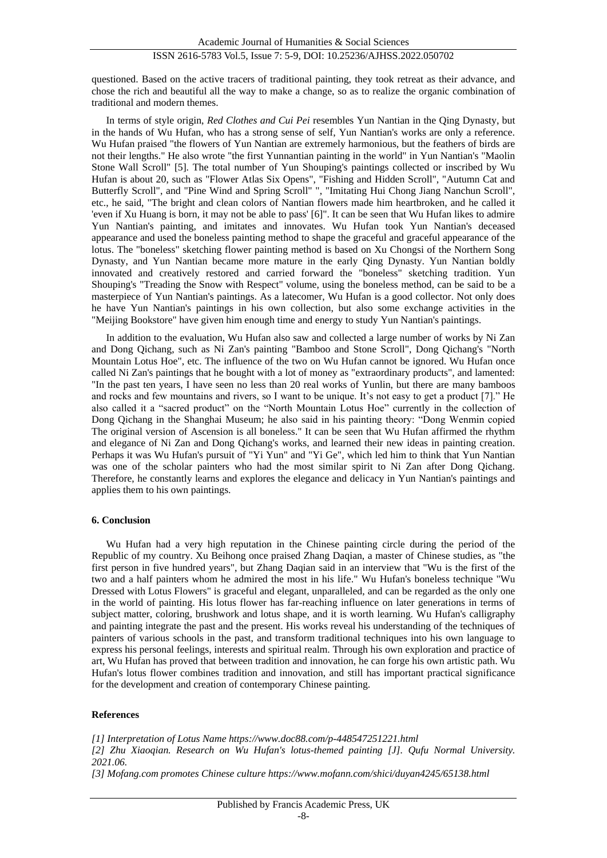questioned. Based on the active tracers of traditional painting, they took retreat as their advance, and chose the rich and beautiful all the way to make a change, so as to realize the organic combination of traditional and modern themes.

In terms of style origin, *Red Clothes and Cui Pei* resembles Yun Nantian in the Qing Dynasty, but in the hands of Wu Hufan, who has a strong sense of self, Yun Nantian's works are only a reference. Wu Hufan praised "the flowers of Yun Nantian are extremely harmonious, but the feathers of birds are not their lengths." He also wrote "the first Yunnantian painting in the world" in Yun Nantian's "Maolin Stone Wall Scroll" [5]. The total number of Yun Shouping's paintings collected or inscribed by Wu Hufan is about 20, such as "Flower Atlas Six Opens", "Fishing and Hidden Scroll", "Autumn Cat and Butterfly Scroll", and "Pine Wind and Spring Scroll" ", "Imitating Hui Chong Jiang Nanchun Scroll", etc., he said, "The bright and clean colors of Nantian flowers made him heartbroken, and he called it 'even if Xu Huang is born, it may not be able to pass' [6]". It can be seen that Wu Hufan likes to admire Yun Nantian's painting, and imitates and innovates. Wu Hufan took Yun Nantian's deceased appearance and used the boneless painting method to shape the graceful and graceful appearance of the lotus. The "boneless" sketching flower painting method is based on Xu Chongsi of the Northern Song Dynasty, and Yun Nantian became more mature in the early Qing Dynasty. Yun Nantian boldly innovated and creatively restored and carried forward the "boneless" sketching tradition. Yun Shouping's "Treading the Snow with Respect" volume, using the boneless method, can be said to be a masterpiece of Yun Nantian's paintings. As a latecomer, Wu Hufan is a good collector. Not only does he have Yun Nantian's paintings in his own collection, but also some exchange activities in the "Meijing Bookstore" have given him enough time and energy to study Yun Nantian's paintings.

In addition to the evaluation, Wu Hufan also saw and collected a large number of works by Ni Zan and Dong Qichang, such as Ni Zan's painting "Bamboo and Stone Scroll", Dong Qichang's "North Mountain Lotus Hoe", etc. The influence of the two on Wu Hufan cannot be ignored. Wu Hufan once called Ni Zan's paintings that he bought with a lot of money as "extraordinary products", and lamented: "In the past ten years, I have seen no less than 20 real works of Yunlin, but there are many bamboos and rocks and few mountains and rivers, so I want to be unique. It's not easy to get a product [7]." He also called it a "sacred product" on the "North Mountain Lotus Hoe" currently in the collection of Dong Qichang in the Shanghai Museum; he also said in his painting theory: "Dong Wenmin copied The original version of Ascension is all boneless." It can be seen that Wu Hufan affirmed the rhythm and elegance of Ni Zan and Dong Qichang's works, and learned their new ideas in painting creation. Perhaps it was Wu Hufan's pursuit of "Yi Yun" and "Yi Ge", which led him to think that Yun Nantian was one of the scholar painters who had the most similar spirit to Ni Zan after Dong Qichang. Therefore, he constantly learns and explores the elegance and delicacy in Yun Nantian's paintings and applies them to his own paintings.

#### **6. Conclusion**

Wu Hufan had a very high reputation in the Chinese painting circle during the period of the Republic of my country. Xu Beihong once praised Zhang Daqian, a master of Chinese studies, as "the first person in five hundred years", but Zhang Daqian said in an interview that "Wu is the first of the two and a half painters whom he admired the most in his life." Wu Hufan's boneless technique "Wu Dressed with Lotus Flowers" is graceful and elegant, unparalleled, and can be regarded as the only one in the world of painting. His lotus flower has far-reaching influence on later generations in terms of subject matter, coloring, brushwork and lotus shape, and it is worth learning. Wu Hufan's calligraphy and painting integrate the past and the present. His works reveal his understanding of the techniques of painters of various schools in the past, and transform traditional techniques into his own language to express his personal feelings, interests and spiritual realm. Through his own exploration and practice of art, Wu Hufan has proved that between tradition and innovation, he can forge his own artistic path. Wu Hufan's lotus flower combines tradition and innovation, and still has important practical significance for the development and creation of contemporary Chinese painting.

#### **References**

*[1] Interpretation of Lotus Name https://www.doc88.com/p-448547251221.html [2] Zhu Xiaoqian. Research on Wu Hufan's lotus-themed painting [J]. Qufu Normal University. 2021.06.*

*[3] Mofang.com promotes Chinese culture https://www.mofann.com/shici/duyan4245/65138.html*